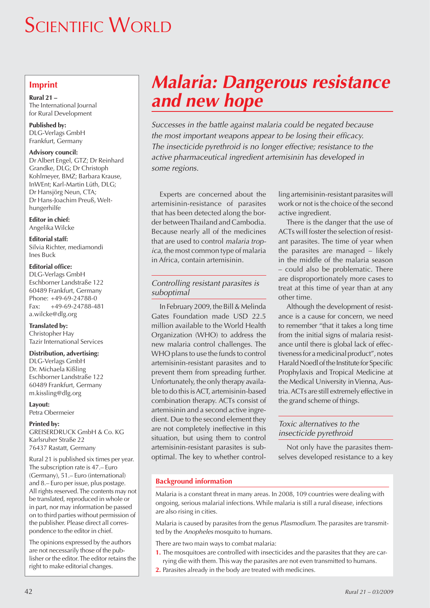# **SCIENTIFIC WORLD**

## **Imprint**

**Rural 21 –** The International Journal for Rural Development

**Published by:** DLG-Verlags GmbH Frankfurt, Germany

### **Advisory council:**

Dr Albert Engel, GTZ; Dr Reinhard Grandke, DLG; Dr Christoph Kohlmeyer, BMZ; Barbara Krause, InWEnt; Karl-Martin Lüth, DLG; Dr Hansjörg Neun, CTA; Dr Hans-Joachim Preuß, Welthungerhilfe

**Editor in chief:** Angelika Wilcke

**Editorial staff:** Silvia Richter, mediamondi

Ines Buck

### **Editorial office:**

DLG-Verlags GmbH Eschborner Landstraße 122 60489 Frankfurt, Germany Phone: +49-69-24788-0 Fax: +49-69-24788-481 a.wilcke@dlg.org

**Translated by:** Christopher Hay Tazir International Services

### **Distribution, advertising:**

DLG-Verlags GmbH Dr. Michaela Kißling Eschborner Landstraße 122 60489 Frankfurt, Germany m.kissling@dlg.org

**Layout:** Petra Obermeier

### **Printed by:**

GREISERDRUCK GmbH & Co. KG Karlsruher Straße 22 76437 Rastatt, Germany

Rural 21 is published six times per year. The subscription rate is 47.– Euro (Germany), 51.– Euro (international) and 8.– Euro per issue, plus postage. All rights reserved. The contents may not be translated, reproduced in whole or in part, nor may information be passed on to third parties without permission of the publisher. Please direct all correspondence to the editor in chief.

The opinions expressed by the authors are not necessarily those of the publisher or the editor. The editor retains the right to make editorial changes.

# *Malaria: Dangerous resistance and new hope*

*Successes in the battle against malaria could be negated because the most important weapons appear to be losing their efficacy. The insecticide pyrethroid is no longer effective; resistance to the active pharmaceutical ingredient artemisinin has developed in some regions.*

Experts are concerned about the artemisinin-resistance of parasites that has been detected along the border between Thailand and Cambodia. Because nearly all of the medicines that are used to control *malaria tropica*, the most common type of malaria in Africa, contain artemisinin.

## *Controlling resistant parasites is suboptimal*

In February 2009, the Bill & Melinda Gates Foundation made USD 22.5 million available to the World Health Organization (WHO) to address the new malaria control challenges. The WHO plans to use the funds to control artemisinin-resistant parasites and to prevent them from spreading further. Unfortunately, the only therapy available to do this is ACT, artemisinin-based combination therapy. ACTs consist of artemisinin and a second active ingredient. Due to the second element they are not completely ineffective in this situation, but using them to control artemisinin-resistant parasites is suboptimal. The key to whether control-

ling artemisinin-resistant parasites will work or not is the choice of the second active ingredient.

There is the danger that the use of ACTs will foster the selection of resistant parasites. The time of year when the parasites are managed – likely in the middle of the malaria season – could also be problematic. There are disproportionately more cases to treat at this time of year than at any other time.

Although the development of resistance is a cause for concern, we need to remember "that it takes a long time from the initial signs of malaria resistance until there is global lack of effectiveness for a medicinal product", notes Harald Noedl of the Institute for Specific Prophylaxis and Tropical Medicine at the Medical University in Vienna, Austria. ACTs are still extremely effective in the grand scheme of things.

### *Toxic alternatives to the insecticide pyrethroid*

Not only have the parasites themselves developed resistance to a key

### **Background information**

Malaria is a constant threat in many areas. In 2008, 109 countries were dealing with ongoing, serious malarial infections. While malaria is still a rural disease, infections are also rising in cities.

Malaria is caused by parasites from the genus *Plasmodium*. The parasites are transmitted by the *Anopheles* mosquito to humans.

There are two main ways to combat malaria:

- **1.** The mosquitoes are controlled with insecticides and the parasites that they are carrying die with them. This way the parasites are not even transmitted to humans.
- **2.** Parasites already in the body are treated with medicines.